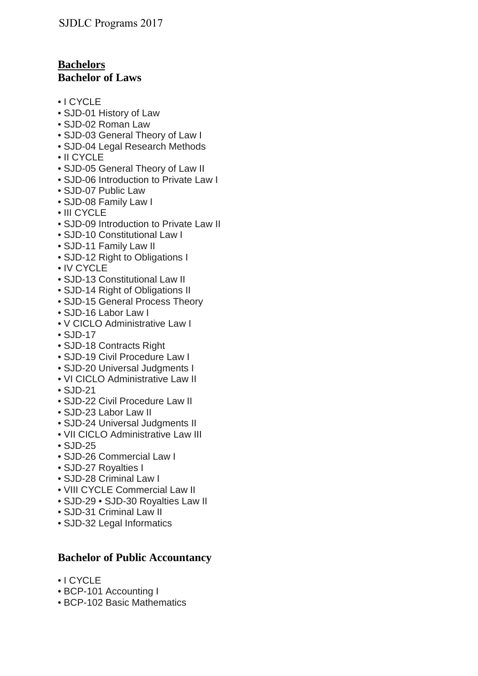# **Bachelors Bachelor of Laws**

- I CYCLE
- SJD-01 History of Law
- SJD-02 Roman Law
- SJD-03 General Theory of Law I
- SJD-04 Legal Research Methods
- II CYCLE
- SJD-05 General Theory of Law II
- SJD-06 Introduction to Private Law I
- SJD-07 Public Law
- SJD-08 Family Law I
- III CYCLE
- SJD-09 Introduction to Private Law II
- SJD-10 Constitutional Law I
- SJD-11 Family Law II
- SJD-12 Right to Obligations I
- IV CYCLE
- SJD-13 Constitutional Law II
- SJD-14 Right of Obligations II
- SJD-15 General Process Theory
- SJD-16 Labor Law I
- V CICLO Administrative Law I
- SJD-17
- SJD-18 Contracts Right
- SJD-19 Civil Procedure Law I
- SJD-20 Universal Judgments I
- VI CICLO Administrative Law II
- SJD-21
- SJD-22 Civil Procedure Law II
- SJD-23 Labor Law II
- SJD-24 Universal Judgments II
- VII CICLO Administrative Law III
- SJD-25
- SJD-26 Commercial Law I
- SJD-27 Royalties I
- SJD-28 Criminal Law I
- VIII CYCLE Commercial Law II
- SJD-29 SJD-30 Royalties Law II
- SJD-31 Criminal Law II
- SJD-32 Legal Informatics

# **Bachelor of Public Accountancy**

- I CYCLE
- BCP-101 Accounting I
- BCP-102 Basic Mathematics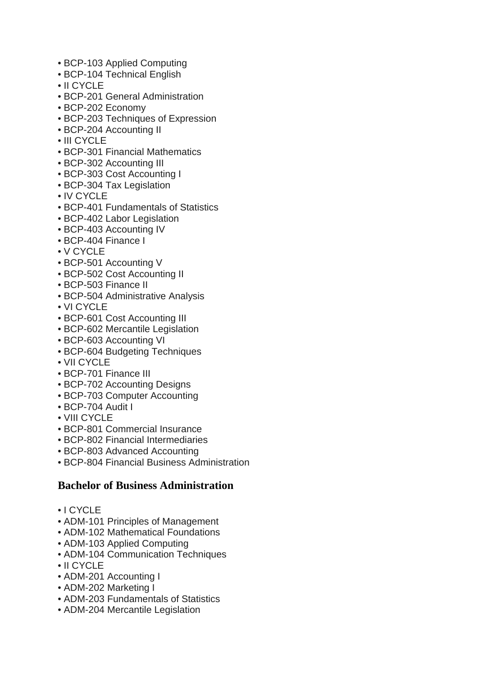- BCP-103 Applied Computing
- BCP-104 Technical English
- II CYCLE
- BCP-201 General Administration
- BCP-202 Economy
- BCP-203 Techniques of Expression
- BCP-204 Accounting II
- III CYCLE
- BCP-301 Financial Mathematics
- BCP-302 Accounting III
- BCP-303 Cost Accounting I
- BCP-304 Tax Legislation
- IV CYCLE
- BCP-401 Fundamentals of Statistics
- BCP-402 Labor Legislation
- BCP-403 Accounting IV
- BCP-404 Finance I
- V CYCLE
- BCP-501 Accounting V
- BCP-502 Cost Accounting II
- BCP-503 Finance II
- BCP-504 Administrative Analysis
- VI CYCLE
- BCP-601 Cost Accounting III
- BCP-602 Mercantile Legislation
- BCP-603 Accounting VI
- BCP-604 Budgeting Techniques
- VII CYCLE
- BCP-701 Finance III
- BCP-702 Accounting Designs
- BCP-703 Computer Accounting
- BCP-704 Audit I
- VIII CYCLE
- BCP-801 Commercial Insurance
- BCP-802 Financial Intermediaries
- BCP-803 Advanced Accounting
- BCP-804 Financial Business Administration

## **Bachelor of Business Administration**

- I CYCLE
- ADM-101 Principles of Management
- ADM-102 Mathematical Foundations
- ADM-103 Applied Computing
- ADM-104 Communication Techniques
- II CYCLE
- ADM-201 Accounting I
- ADM-202 Marketing I
- ADM-203 Fundamentals of Statistics
- ADM-204 Mercantile Legislation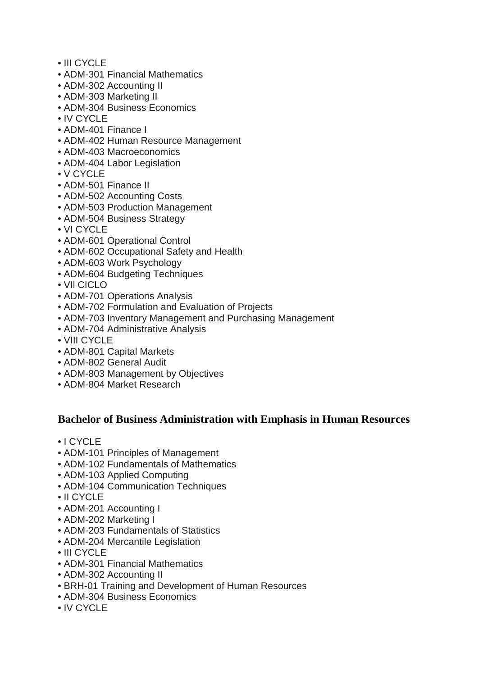- III CYCLE
- ADM-301 Financial Mathematics
- ADM-302 Accounting II
- ADM-303 Marketing II
- ADM-304 Business Economics
- IV CYCLE
- ADM-401 Finance I
- ADM-402 Human Resource Management
- ADM-403 Macroeconomics
- ADM-404 Labor Legislation
- V CYCLE
- ADM-501 Finance II
- ADM-502 Accounting Costs
- ADM-503 Production Management
- ADM-504 Business Strategy
- VI CYCLE
- ADM-601 Operational Control
- ADM-602 Occupational Safety and Health
- ADM-603 Work Psychology
- ADM-604 Budgeting Techniques
- VIl CICLO
- ADM-701 Operations Analysis
- ADM-702 Formulation and Evaluation of Projects
- ADM-703 Inventory Management and Purchasing Management
- ADM-704 Administrative Analysis
- VIII CYCLE
- ADM-801 Capital Markets
- ADM-802 General Audit
- ADM-803 Management by Objectives
- ADM-804 Market Research

## **Bachelor of Business Administration with Emphasis in Human Resources**

- I CYCLE
- ADM-101 Principles of Management
- ADM-102 Fundamentals of Mathematics
- ADM-103 Applied Computing
- ADM-104 Communication Techniques
- II CYCLE
- ADM-201 Accounting I
- ADM-202 Marketing I
- ADM-203 Fundamentals of Statistics
- ADM-204 Mercantile Legislation
- III CYCLE
- ADM-301 Financial Mathematics
- ADM-302 Accounting II
- BRH-01 Training and Development of Human Resources
- ADM-304 Business Economics
- IV CYCLE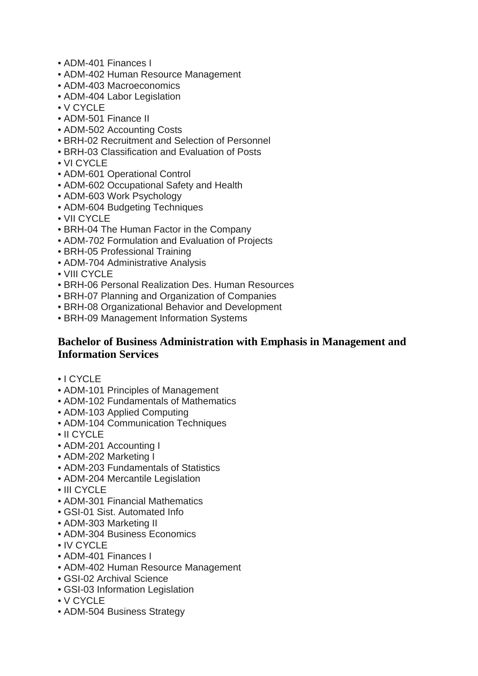- ADM-401 Finances I
- ADM-402 Human Resource Management
- ADM-403 Macroeconomics
- ADM-404 Labor Legislation
- V CYCLE
- ADM-501 Finance II
- ADM-502 Accounting Costs
- BRH-02 Recruitment and Selection of Personnel
- BRH-03 Classification and Evaluation of Posts
- VI CYCLE
- ADM-601 Operational Control
- ADM-602 Occupational Safety and Health
- ADM-603 Work Psychology
- ADM-604 Budgeting Techniques
- VII CYCLE
- BRH-04 The Human Factor in the Company
- ADM-702 Formulation and Evaluation of Projects
- BRH-05 Professional Training
- ADM-704 Administrative Analysis
- VIII CYCLE
- BRH-06 Personal Realization Des. Human Resources
- BRH-07 Planning and Organization of Companies
- BRH-08 Organizational Behavior and Development
- BRH-09 Management Information Systems

## **Bachelor of Business Administration with Emphasis in Management and Information Services**

- I CYCLE
- ADM-101 Principles of Management
- ADM-102 Fundamentals of Mathematics
- ADM-103 Applied Computing
- ADM-104 Communication Techniques
- II CYCLE
- ADM-201 Accounting I
- ADM-202 Marketing I
- ADM-203 Fundamentals of Statistics
- ADM-204 Mercantile Legislation
- III CYCLE
- ADM-301 Financial Mathematics
- GSI-01 Sist. Automated Info
- ADM-303 Marketing II
- ADM-304 Business Economics
- IV CYCLE
- ADM-401 Finances I
- ADM-402 Human Resource Management
- GSI-02 Archival Science
- GSI-03 Information Legislation
- V CYCLE
- ADM-504 Business Strategy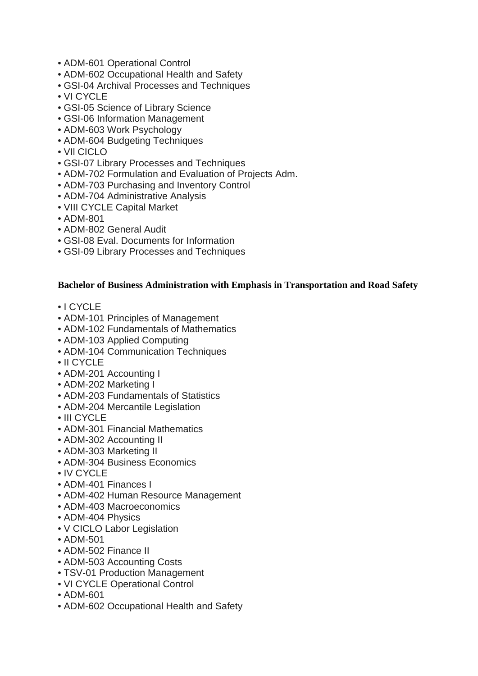- ADM-601 Operational Control
- ADM-602 Occupational Health and Safety
- GSI-04 Archival Processes and Techniques
- VI CYCLE
- GSI-05 Science of Library Science
- GSI-06 Information Management
- ADM-603 Work Psychology
- ADM-604 Budgeting Techniques
- VIl CICLO
- GSI-07 Library Processes and Techniques
- ADM-702 Formulation and Evaluation of Projects Adm.
- ADM-703 Purchasing and Inventory Control
- ADM-704 Administrative Analysis
- VIII CYCLE Capital Market
- ADM-801
- ADM-802 General Audit
- GSI-08 Eval. Documents for Information
- GSI-09 Library Processes and Techniques

#### **Bachelor of Business Administration with Emphasis in Transportation and Road Safety**

- I CYCLE
- ADM-101 Principles of Management
- ADM-102 Fundamentals of Mathematics
- ADM-103 Applied Computing
- ADM-104 Communication Techniques
- II CYCLE
- ADM-201 Accounting I
- ADM-202 Marketing I
- ADM-203 Fundamentals of Statistics
- ADM-204 Mercantile Legislation
- III CYCLE
- ADM-301 Financial Mathematics
- ADM-302 Accounting II
- ADM-303 Marketing II
- ADM-304 Business Economics
- IV CYCLE
- ADM-401 Finances I
- ADM-402 Human Resource Management
- ADM-403 Macroeconomics
- ADM-404 Physics
- V CICLO Labor Legislation
- ADM-501
- ADM-502 Finance II
- ADM-503 Accounting Costs
- TSV-01 Production Management
- VI CYCLE Operational Control
- ADM-601
- ADM-602 Occupational Health and Safety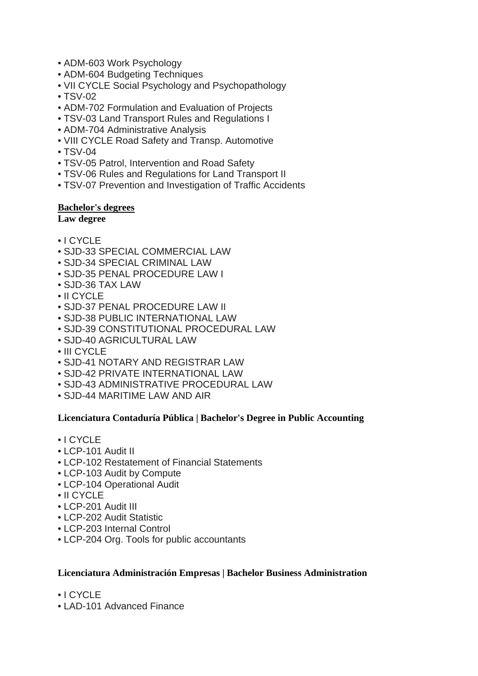- ADM-603 Work Psychology
- ADM-604 Budgeting Techniques
- VII CYCLE Social Psychology and Psychopathology
- TSV-02
- ADM-702 Formulation and Evaluation of Projects
- TSV-03 Land Transport Rules and Regulations I
- ADM-704 Administrative Analysis
- VIII CYCLE Road Safety and Transp. Automotive
- TSV-04
- TSV-05 Patrol, Intervention and Road Safety
- TSV-06 Rules and Regulations for Land Transport II
- TSV-07 Prevention and Investigation of Traffic Accidents

#### **Bachelor's degrees**

#### **Law degree**

- I CYCLE
- SJD-33 SPECIAL COMMERCIAL LAW
- SJD-34 SPECIAL CRIMINAL LAW
- SJD-35 PENAL PROCEDURE LAW I
- SJD-36 TAX LAW
- II CYCLE
- SJD-37 PENAL PROCEDURE LAW II
- SJD-38 PUBLIC INTERNATIONAL LAW
- SJD-39 CONSTITUTIONAL PROCEDURAL LAW
- SJD-40 AGRICULTURAL LAW
- III CYCLE
- SJD-41 NOTARY AND REGISTRAR LAW
- SJD-42 PRIVATE INTERNATIONAL LAW
- SJD-43 ADMINISTRATIVE PROCEDURAL LAW
- SJD-44 MARITIME LAW AND AIR

#### **Licenciatura Contaduría Pública | Bachelor's Degree in Public Accounting**

- I CYCLE
- LCP-101 Audit II
- LCP-102 Restatement of Financial Statements
- LCP-103 Audit by Compute
- LCP-104 Operational Audit
- II CYCLE
- LCP-201 Audit III
- LCP-202 Audit Statistic
- LCP-203 Internal Control
- LCP-204 Org. Tools for public accountants

#### **Licenciatura Administración Empresas | Bachelor Business Administration**

- I CYCLE
- LAD-101 Advanced Finance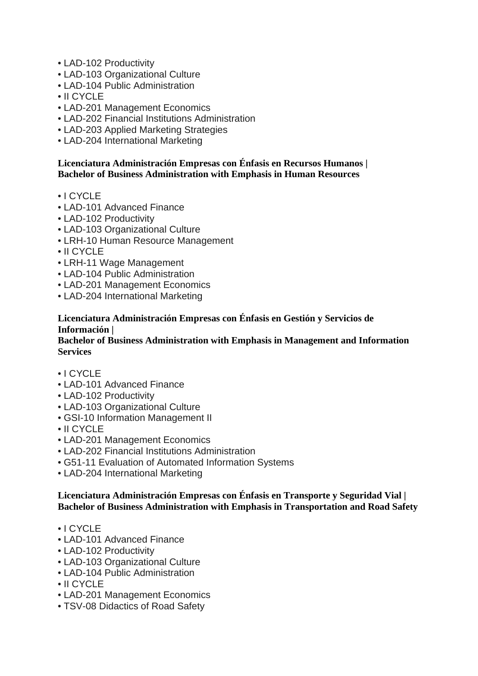- LAD-102 Productivity
- LAD-103 Organizational Culture
- LAD-104 Public Administration
- II CYCLE
- LAD-201 Management Economics
- LAD-202 Financial Institutions Administration
- LAD-203 Applied Marketing Strategies
- LAD-204 International Marketing

#### **Licenciatura Administración Empresas con Énfasis en Recursos Humanos | Bachelor of Business Administration with Emphasis in Human Resources**

- I CYCLE
- LAD-101 Advanced Finance
- LAD-102 Productivity
- LAD-103 Organizational Culture
- LRH-10 Human Resource Management
- II CYCLE
- LRH-11 Wage Management
- LAD-104 Public Administration
- LAD-201 Management Economics
- LAD-204 International Marketing

#### **Licenciatura Administración Empresas con Énfasis en Gestión y Servicios de Información |**

#### **Bachelor of Business Administration with Emphasis in Management and Information Services**

- I CYCLE
- LAD-101 Advanced Finance
- LAD-102 Productivity
- LAD-103 Organizational Culture
- GSI-10 Information Management II
- II CYCLE
- LAD-201 Management Economics
- LAD-202 Financial Institutions Administration
- G51-11 Evaluation of Automated Information Systems
- LAD-204 International Marketing

#### **Licenciatura Administración Empresas con Énfasis en Transporte y Seguridad Vial | Bachelor of Business Administration with Emphasis in Transportation and Road Safety**

- I CYCLE
- LAD-101 Advanced Finance
- LAD-102 Productivity
- LAD-103 Organizational Culture
- LAD-104 Public Administration
- II CYCLE
- LAD-201 Management Economics
- TSV-08 Didactics of Road Safety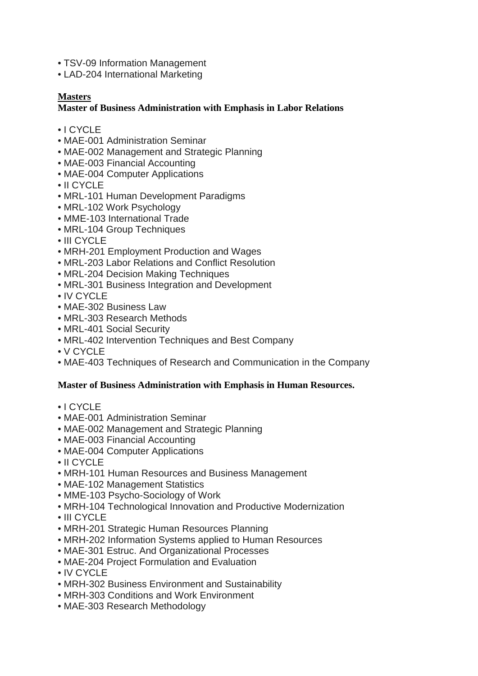- TSV-09 Information Management
- LAD-204 International Marketing

## **Masters**

## **Master of Business Administration with Emphasis in Labor Relations**

- I CYCLE
- MAE-001 Administration Seminar
- MAE-002 Management and Strategic Planning
- MAE-003 Financial Accounting
- MAE-004 Computer Applications
- II CYCLE
- MRL-101 Human Development Paradigms
- MRL-102 Work Psychology
- MME-103 International Trade
- MRL-104 Group Techniques
- III CYCLE
- MRH-201 Employment Production and Wages
- MRL-203 Labor Relations and Conflict Resolution
- MRL-204 Decision Making Techniques
- MRL-301 Business Integration and Development
- IV CYCLE
- MAE-302 Business Law
- MRL-303 Research Methods
- MRL-401 Social Security
- MRL-402 Intervention Techniques and Best Company
- V CYCLE
- MAE-403 Techniques of Research and Communication in the Company

#### **Master of Business Administration with Emphasis in Human Resources.**

- I CYCLE
- MAE-001 Administration Seminar
- MAE-002 Management and Strategic Planning
- MAE-003 Financial Accounting
- MAE-004 Computer Applications
- II CYCLE
- MRH-101 Human Resources and Business Management
- MAE-102 Management Statistics
- MME-103 Psycho-Sociology of Work
- MRH-104 Technological Innovation and Productive Modernization
- III CYCLE
- MRH-201 Strategic Human Resources Planning
- MRH-202 Information Systems applied to Human Resources
- MAE-301 Estruc. And Organizational Processes
- MAE-204 Project Formulation and Evaluation
- IV CYCLE
- MRH-302 Business Environment and Sustainability
- MRH-303 Conditions and Work Environment
- MAE-303 Research Methodology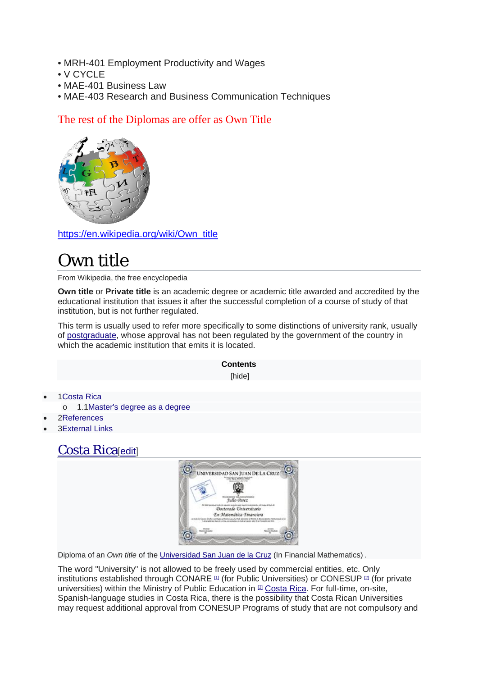- MRH-401 Employment Productivity and Wages
- V CYCLE
- MAE-401 Business Law
- MAE-403 Research and Business Communication Techniques

## The rest of the Diplomas are offer as Own Title



[https://en.wikipedia.org/wiki/Own\\_title](https://en.wikipedia.org/wiki/Own_title)

# Own title

From Wikipedia, the free encyclopedia

**Own title** or **Private title** is an academic degree or academic title awarded and accredited by the educational institution that issues it after the successful completion of a course of study of that institution, but is not further regulated.

This term is usually used to refer more specifically to some distinctions of university rank, usually of [postgraduate,](https://en.wikipedia.org/wiki/Postgraduate) whose approval has not been regulated by the government of the country in which the academic institution that emits it is located.

#### **Contents**

[hide]

- [1Costa Rica](https://en.wikipedia.org/wiki/Own_title#Costa_Rica)
	- o [1.1Master's degree as a degree](https://en.wikipedia.org/wiki/Own_title#Master.27s_degree_as_a_degree)
- [2References](https://en.wikipedia.org/wiki/Own_title#References)
- [3External Links](https://en.wikipedia.org/wiki/Own_title#External_Links)

# [Costa Rica](https://en.wikipedia.org/wiki/Costa_Rica)ledit

|  | UNIVERSIDAD SAN JUAN DE LA CRUZ<br>Concrete Andrew Comp |  |
|--|---------------------------------------------------------|--|
|  |                                                         |  |
|  | Julio Perez                                             |  |
|  | Doctorado Universitario                                 |  |
|  | En Matemática Financiera                                |  |
|  |                                                         |  |
|  |                                                         |  |

Diploma of an *Own title* of the [Universidad San Juan de la Cruz](https://en.wikipedia.org/wiki/Universidad_San_Juan_de_la_Cruz) (In Financial Mathematics) *.*

The word "University" is not allowed to be freely used by commercial entities, etc. Only institutions established through CONARE  $\text{m}$  (for Public Universities) or CONESUP  $\text{m}$  (for private universities) within the Ministry of Public Education in [\[3\]](https://en.wikipedia.org/wiki/Own_title#cite_note-3) [Costa Rica.](https://en.wikipedia.org/wiki/Costa_Rica) For full-time, on-site, Spanish-language studies in Costa Rica, there is the possibility that Costa Rican Universities may request additional approval from CONESUP Programs of study that are not compulsory and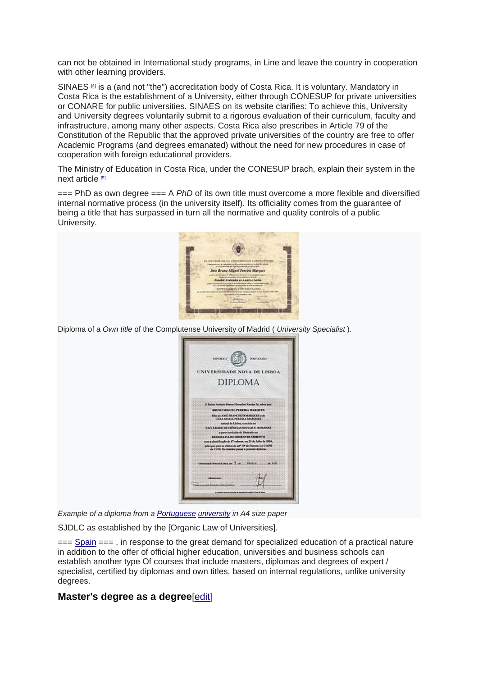can not be obtained in International study programs, in Line and leave the country in cooperation with other learning providers.

SINAES  $41$  is a (and not "the") accreditation body of Costa Rica. It is voluntary. Mandatory in Costa Rica is the establishment of a University, either through CONESUP for private universities or CONARE for public universities. SINAES on its website clarifies: To achieve this, University and University degrees voluntarily submit to a rigorous evaluation of their curriculum, faculty and infrastructure, among many other aspects. Costa Rica also prescribes in Article 79 of the Constitution of the Republic that the approved private universities of the country are free to offer Academic Programs (and degrees emanated) without the need for new procedures in case of cooperation with foreign educational providers.

The Ministry of Education in Costa Rica, under the CONESUP brach, explain their system in the next article [\[5\]](https://en.wikipedia.org/wiki/Own_title#cite_note-5)

=== PhD as own degree === A *PhD* of its own title must overcome a more flexible and diversified internal normative process (in the university itself). Its officiality comes from the guarantee of being a title that has surpassed in turn all the normative and quality controls of a public University.



Diploma of a *Own title* of the Complutense University of Madrid ( *University Specialist* ).



*Example of a diploma from a [Portuguese](https://en.wikipedia.org/wiki/Portugal) [university](https://en.wikipedia.org/wiki/University) in A4 size paper*

SJDLC as established by the [Organic Law of Universities].

=== [Spain](https://en.wikipedia.org/wiki/Spain) === , in response to the great demand for specialized education of a practical nature in addition to the offer of official higher education, universities and business schools can establish another type Of courses that include masters, diplomas and degrees of expert / specialist, certified by diplomas and own titles, based on internal regulations, unlike university degrees.

#### **Master's degree as a degree**[\[edit\]](https://en.wikipedia.org/w/index.php?title=Own_title&action=edit§ion=2)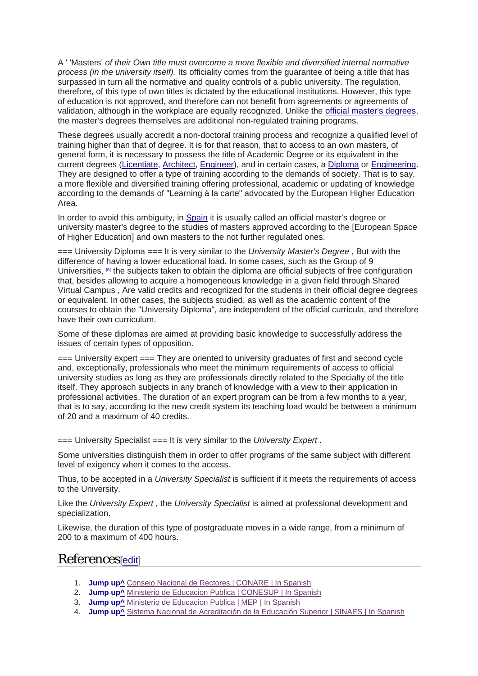A ' 'Masters' *of their Own title must overcome a more flexible and diversified internal normative process (in the university itself).* Its officiality comes from the guarantee of being a title that has surpassed in turn all the normative and quality controls of a public university. The regulation, therefore, of this type of own titles is dictated by the educational institutions. However, this type of education is not approved, and therefore can not benefit from agreements or agreements of validation, although in the workplace are equally recognized. Unlike the [official master's degrees,](https://en.wikipedia.org/wiki/Master%27s_degrees) the master's degrees themselves are additional non-regulated training programs.

These degrees usually accredit a non-doctoral training process and recognize a qualified level of training higher than that of degree. It is for that reason, that to access to an own masters, of general form, it is necessary to possess the title of Academic Degree or its equivalent in the current degrees [\(Licentiate,](https://en.wikipedia.org/wiki/Licentiate) [Architect,](https://en.wikipedia.org/wiki/Architect) [Engineer\)](https://en.wikipedia.org/wiki/Engineer), and in certain cases, a [Diploma](https://en.wikipedia.org/wiki/Diploma) or [Engineering.](https://en.wikipedia.org/wiki/Engineering) They are designed to offer a type of training according to the demands of society. That is to say, a more flexible and diversified training offering professional, academic or updating of knowledge according to the demands of "Learning à la carte" advocated by the European Higher Education Area.

In order to avoid this ambiguity, in [Spain](https://en.wikipedia.org/wiki/Spain) it is usually called an official master's degree or university master's degree to the studies of masters approved according to the [European Space of Higher Education] and own masters to the not further regulated ones.

=== University Diploma === It is very similar to the *University Master's Degree* , But with the difference of having a lower educational load. In some cases, such as the Group of 9 Universities, [\[6\]](https://en.wikipedia.org/wiki/Own_title#cite_note-6) the subjects taken to obtain the diploma are official subjects of free configuration that, besides allowing to acquire a homogeneous knowledge in a given field through Shared Virtual Campus , Are valid credits and recognized for the students in their official degree degrees or equivalent. In other cases, the subjects studied, as well as the academic content of the courses to obtain the "University Diploma", are independent of the official curricula, and therefore have their own curriculum.

Some of these diplomas are aimed at providing basic knowledge to successfully address the issues of certain types of opposition.

 $==$  University expert  $==$  They are oriented to university graduates of first and second cycle and, exceptionally, professionals who meet the minimum requirements of access to official university studies as long as they are professionals directly related to the Specialty of the title itself. They approach subjects in any branch of knowledge with a view to their application in professional activities. The duration of an expert program can be from a few months to a year, that is to say, according to the new credit system its teaching load would be between a minimum of 20 and a maximum of 40 credits.

=== University Specialist === It is very similar to the *University Expert* .

Some universities distinguish them in order to offer programs of the same subject with different level of exigency when it comes to the access.

Thus, to be accepted in a *University Specialist* is sufficient if it meets the requirements of access to the University.

Like the *University Expert* , the *University Specialist* is aimed at professional development and specialization.

Likewise, the duration of this type of postgraduate moves in a wide range, from a minimum of 200 to a maximum of 400 hours.

# References[\[edit\]](https://en.wikipedia.org/w/index.php?title=Own_title&action=edit§ion=3)

- 1. **[Jump up^](https://en.wikipedia.org/wiki/Own_title#cite_ref-1)** [Consejo Nacional de Rectores | CONARE | In Spanish](https://www.conare.ac.cr/)
- 2. **Jump up**<sup>^</sup> [Ministerio de Educacion Publica | CONESUP | In Spanish](http://www.mep.go.cr/conesup)
- 3. **[Jump up^](https://en.wikipedia.org/wiki/Own_title#cite_ref-3)** [Ministerio de Educacion Publica | MEP | In Spanish](http://www.mep.go.cr/)
- 4. **[Jump up^](https://en.wikipedia.org/wiki/Own_title#cite_ref-4)** [Sistema Nacional de Acreditación de la Educación Superior | SINAES | In Spanish](http://www.sinaes.ac.cr/)